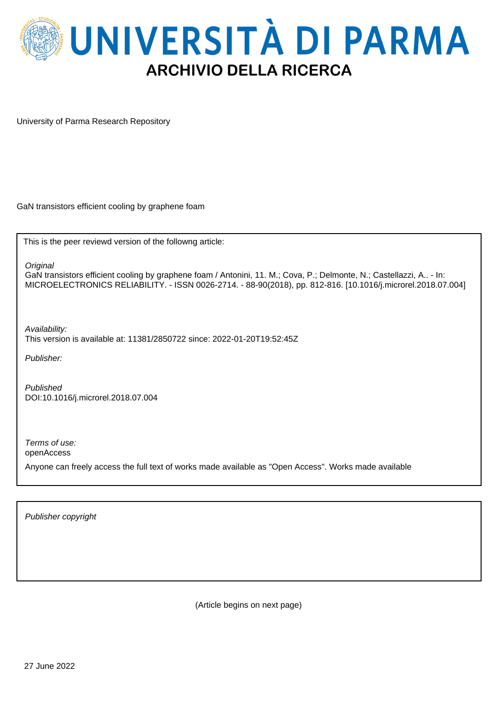

University of Parma Research Repository

GaN transistors efficient cooling by graphene foam

This is the peer reviewd version of the followng article:

**Original** 

GaN transistors efficient cooling by graphene foam / Antonini, 11. M.; Cova, P.; Delmonte, N.; Castellazzi, A.. - In: MICROELECTRONICS RELIABILITY. - ISSN 0026-2714. - 88-90(2018), pp. 812-816. [10.1016/j.microrel.2018.07.004]

Availability: This version is available at: 11381/2850722 since: 2022-01-20T19:52:45Z

Publisher:

Published DOI:10.1016/j.microrel.2018.07.004

Terms of use:

openAccess

Anyone can freely access the full text of works made available as "Open Access". Works made available

Publisher copyright

(Article begins on next page)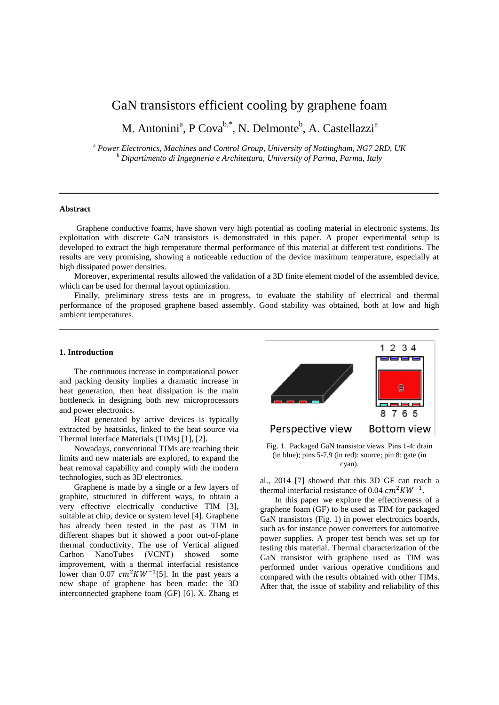# GaN transistors efficient cooling by graphene foam

M. Antonini<sup>a</sup>, P Cova<sup>b,\*</sup>, N. Delmonte<sup>b</sup>, A. Castellazzi<sup>a</sup>

<sup>a</sup> *Power Electronics, Machines and Control Group, University of Nottingham, NG7 2RD, UK* <sup>b</sup> *Dipartimento di Ingegneria e Architettura, University of Parma, Parma, Italy*

## **Abstract**

 Graphene conductive foams, have shown very high potential as cooling material in electronic systems. Its exploitation with discrete GaN transistors is demonstrated in this paper. A proper experimental setup is developed to extract the high temperature thermal performance of this material at different test conditions. The results are very promising, showing a noticeable reduction of the device maximum temperature, especially at high dissipated power densities.

Moreover, experimental results allowed the validation of a 3D finite element model of the assembled device, which can be used for thermal layout optimization.

Finally, preliminary stress tests are in progress, to evaluate the stability of electrical and thermal performance of the proposed graphene based assembly. Good stability was obtained, both at low and high ambient temperatures.

## **1. Introduction**

The continuous increase in computational power and packing density implies a dramatic increase in heat generation, then heat dissipation is the main bottleneck in designing both new microprocessors and power electronics.

Heat generated by active devices is typically extracted by heatsinks, linked to the heat source via Thermal Interface Materials (TIMs) [1], [2].

Nowadays, conventional TIMs are reaching their limits and new materials are explored, to expand the heat removal capability and comply with the modern technologies, such as 3D electronics.

Graphene is made by a single or a few layers of graphite, structured in different ways, to obtain a very effective electrically conductive TIM [3], suitable at chip, device or system level [4]. Graphene has already been tested in the past as TIM in different shapes but it showed a poor out-of-plane thermal conductivity. The use of Vertical aligned Carbon NanoTubes (VCNT) showed some improvement, with a thermal interfacial resistance lower than 0.07  $cm^2KW^{-1}$ [5]. In the past years a new shape of graphene has been made: the 3D interconnected graphene foam (GF) [6]. X. Zhang et



Fig. 1. Packaged GaN transistor views. Pins 1-4: drain (in blue); pins 5-7,9 (in red): source; pin 8: gate (in cyan).

al., 2014 [7] showed that this 3D GF can reach a thermal interfacial resistance of 0.04  $cm^2KW^{-1}$ .

In this paper we explore the effectiveness of a graphene foam (GF) to be used as TIM for packaged GaN transistors (Fig. 1) in power electronics boards, such as for instance power converters for automotive power supplies. A proper test bench was set up for testing this material. Thermal characterization of the GaN transistor with graphene used as TIM was performed under various operative conditions and compared with the results obtained with other TIMs. After that, the issue of stability and reliability of this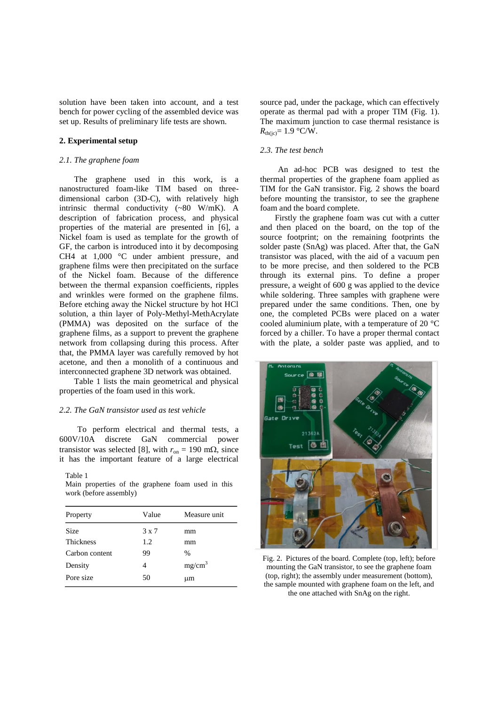solution have been taken into account, and a test bench for power cycling of the assembled device was set up. Results of preliminary life tests are shown.

# **2. Experimental setup**

## *2.1. The graphene foam*

The graphene used in this work, is a nanostructured foam-like TIM based on threedimensional carbon (3D-C), with relatively high intrinsic thermal conductivity (~80 W/mK). A description of fabrication process, and physical properties of the material are presented in [6], a Nickel foam is used as template for the growth of GF, the carbon is introduced into it by decomposing CH4 at 1,000 °C under ambient pressure, and graphene films were then precipitated on the surface of the Nickel foam. Because of the difference between the thermal expansion coefficients, ripples and wrinkles were formed on the graphene films. Before etching away the Nickel structure by hot HCl solution, a thin layer of Poly-Methyl-MethAcrylate (PMMA) was deposited on the surface of the graphene films, as a support to prevent the graphene network from collapsing during this process. After that, the PMMA layer was carefully removed by hot acetone, and then a monolith of a continuous and interconnected graphene 3D network was obtained.

Table 1 lists the main geometrical and physical properties of the foam used in this work.

## *2.2. The GaN transistor used as test vehicle*

To perform electrical and thermal tests, a 600V/10A discrete GaN commercial power transistor was selected [8], with  $r_{on} = 190$  m $\Omega$ , since it has the important feature of a large electrical

## Table 1

Main properties of the graphene foam used in this work (before assembly)

| Property         | Value        | Measure unit       |
|------------------|--------------|--------------------|
| <b>Size</b>      | $3 \times 7$ | mm                 |
| <b>Thickness</b> | 1.2          | mm                 |
| Carbon content   | 99           | $\frac{0}{0}$      |
| Density          | 4            | mg/cm <sup>3</sup> |
| Pore size        | 50           | μm                 |

source pad, under the package, which can effectively operate as thermal pad with a proper TIM (Fig. 1). The maximum junction to case thermal resistance is  $R_{\text{th}(i c)} = 1.9 \text{ °C/W}.$ 

# *2.3. The test bench*

An ad-hoc PCB was designed to test the thermal properties of the graphene foam applied as TIM for the GaN transistor. Fig. 2 shows the board before mounting the transistor, to see the graphene foam and the board complete.

Firstly the graphene foam was cut with a cutter and then placed on the board, on the top of the source footprint; on the remaining footprints the solder paste (SnAg) was placed. After that, the GaN transistor was placed, with the aid of a vacuum pen to be more precise, and then soldered to the PCB through its external pins. To define a proper pressure, a weight of 600 g was applied to the device while soldering. Three samples with graphene were prepared under the same conditions. Then, one by one, the completed PCBs were placed on a water cooled aluminium plate, with a temperature of 20 °C forced by a chiller. To have a proper thermal contact with the plate, a solder paste was applied, and to



Fig. 2. Pictures of the board. Complete (top, left); before mounting the GaN transistor, to see the graphene foam (top, right); the assembly under measurement (bottom), the sample mounted with graphene foam on the left, and the one attached with SnAg on the right.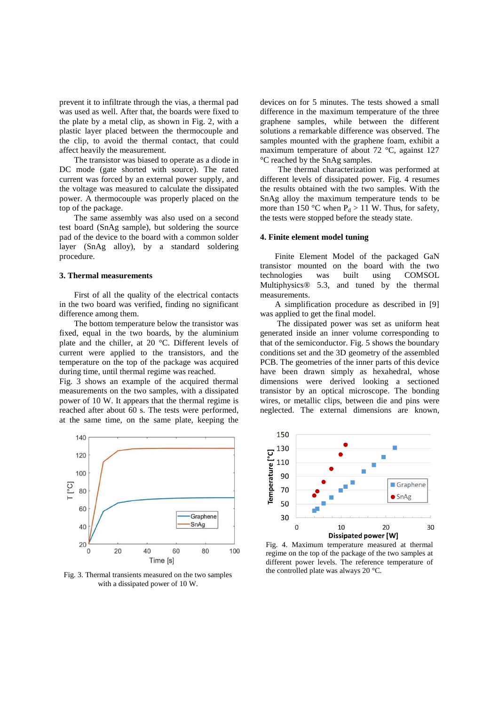prevent it to infiltrate through the vias, a thermal pad was used as well. After that, the boards were fixed to the plate by a metal clip, as shown in Fig. 2, with a plastic layer placed between the thermocouple and the clip, to avoid the thermal contact, that could affect heavily the measurement.

The transistor was biased to operate as a diode in DC mode (gate shorted with source). The rated current was forced by an external power supply, and the voltage was measured to calculate the dissipated power. A thermocouple was properly placed on the top of the package.

The same assembly was also used on a second test board (SnAg sample), but soldering the source pad of the device to the board with a common solder layer (SnAg alloy), by a standard soldering procedure.

#### **3. Thermal measurements**

First of all the quality of the electrical contacts in the two board was verified, finding no significant difference among them.

The bottom temperature below the transistor was fixed, equal in the two boards, by the aluminium plate and the chiller, at 20 °C. Different levels of current were applied to the transistors, and the temperature on the top of the package was acquired during time, until thermal regime was reached.

Fig. 3 shows an example of the acquired thermal measurements on the two samples, with a dissipated power of 10 W. It appears that the thermal regime is reached after about 60 s. The tests were performed, at the same time, on the same plate, keeping the



the controlled plate was always 20 °C. Fig. 3. Thermal transients measured on the two samples with a dissipated power of 10 W.

devices on for 5 minutes. The tests showed a small difference in the maximum temperature of the three graphene samples, while between the different solutions a remarkable difference was observed. The samples mounted with the graphene foam, exhibit a maximum temperature of about 72 °C, against 127 °C reached by the SnAg samples.

The thermal characterization was performed at different levels of dissipated power. Fig. 4 resumes the results obtained with the two samples. With the SnAg alloy the maximum temperature tends to be more than 150 °C when  $P_d > 11$  W. Thus, for safety, the tests were stopped before the steady state.

## **4. Finite element model tuning**

Finite Element Model of the packaged GaN transistor mounted on the board with the two technologies was built using COMSOL Multiphysics® 5.3, and tuned by the thermal measurements.

A simplification procedure as described in [9] was applied to get the final model.

The dissipated power was set as uniform heat generated inside an inner volume corresponding to that of the semiconductor. Fig. 5 shows the boundary conditions set and the 3D geometry of the assembled PCB. The geometries of the inner parts of this device have been drawn simply as hexahedral, whose dimensions were derived looking a sectioned transistor by an optical microscope. The bonding wires, or metallic clips, between die and pins were neglected. The external dimensions are known,



Fig. 4. Maximum temperature measured at thermal regime on the top of the package of the two samples at different power levels. The reference temperature of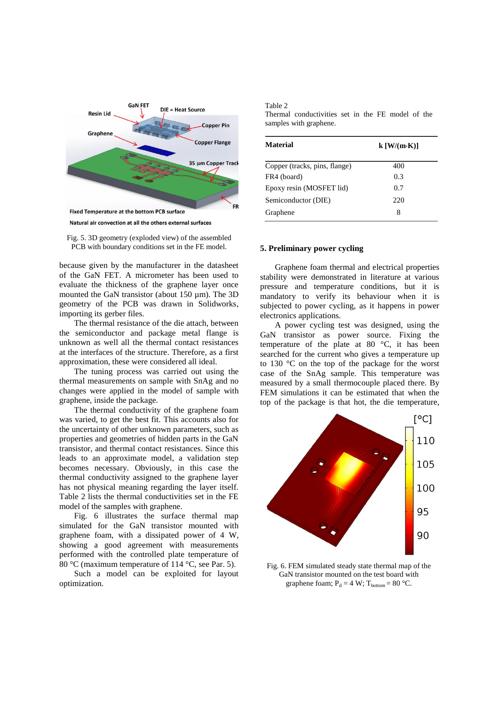

Fig. 5. 3D geometry (exploded view) of the assembled PCB with boundary conditions set in the FE model.

because given by the manufacturer in the datasheet of the GaN FET. A micrometer has been used to evaluate the thickness of the graphene layer once mounted the GaN transistor (about 150 µm). The 3D geometry of the PCB was drawn in Solidworks, importing its gerber files.

The thermal resistance of the die attach, between the semiconductor and package metal flange is unknown as well all the thermal contact resistances at the interfaces of the structure. Therefore, as a first approximation, these were considered all ideal.

The tuning process was carried out using the thermal measurements on sample with SnAg and no changes were applied in the model of sample with graphene, inside the package.

The thermal conductivity of the graphene foam was varied, to get the best fit. This accounts also for the uncertainty of other unknown parameters, such as properties and geometries of hidden parts in the GaN transistor, and thermal contact resistances. Since this leads to an approximate model, a validation step becomes necessary. Obviously, in this case the thermal conductivity assigned to the graphene layer has not physical meaning regarding the layer itself. Table 2 lists the thermal conductivities set in the FE model of the samples with graphene.

Fig. 6 illustrates the surface thermal map simulated for the GaN transistor mounted with graphene foam, with a dissipated power of 4 W, showing a good agreement with measurements performed with the controlled plate temperature of 80 °C (maximum temperature of 114 °C, see Par. 5).

Such a model can be exploited for layout optimization.

| Table 2 |                                                   |  |  |  |  |
|---------|---------------------------------------------------|--|--|--|--|
|         | Thermal conductivities set in the FE model of the |  |  |  |  |
|         | samples with graphene.                            |  |  |  |  |

| Material                      | $k$ [W/(m·K)] |  |  |
|-------------------------------|---------------|--|--|
| Copper (tracks, pins, flange) | 400           |  |  |
| FR4 (board)                   | 0.3           |  |  |
| Epoxy resin (MOSFET lid)      | 0.7           |  |  |
| Semiconductor (DIE)           | 220           |  |  |
| Graphene                      | 8             |  |  |

## **5. Preliminary power cycling**

Graphene foam thermal and electrical properties stability were demonstrated in literature at various pressure and temperature conditions, but it is mandatory to verify its behaviour when it is subjected to power cycling, as it happens in power electronics applications.

A power cycling test was designed, using the GaN transistor as power source. Fixing the temperature of the plate at 80 °C, it has been searched for the current who gives a temperature up to 130 °C on the top of the package for the worst case of the SnAg sample. This temperature was measured by a small thermocouple placed there. By FEM simulations it can be estimated that when the top of the package is that hot, the die temperature,



Fig. 6. FEM simulated steady state thermal map of the GaN transistor mounted on the test board with graphene foam;  $P_d = 4 W$ ;  $T_{bottom} = 80 °C$ .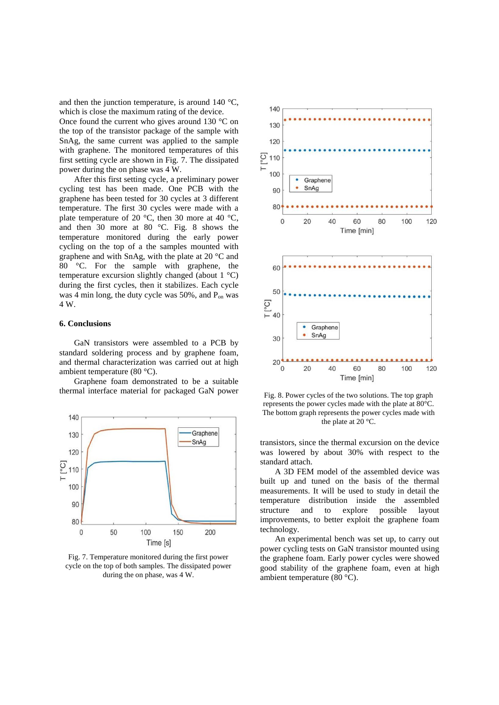and then the junction temperature, is around  $140^{\circ}$ C, which is close the maximum rating of the device. Once found the current who gives around 130  $\degree$ C on the top of the transistor package of the sample with SnAg, the same current was applied to the sample with graphene. The monitored temperatures of this first setting cycle are shown in Fig. 7. The dissipated power during the on phase was 4 W.

After this first setting cycle, a preliminary power cycling test has been made. One PCB with the graphene has been tested for 30 cycles at 3 different temperature. The first 30 cycles were made with a plate temperature of 20 °C, then 30 more at 40 °C, and then 30 more at 80 °C. Fig. 8 shows the temperature monitored during the early power cycling on the top of a the samples mounted with graphene and with SnAg, with the plate at 20 °C and 80 °C. For the sample with graphene, the temperature excursion slightly changed (about 1 °C) during the first cycles, then it stabilizes. Each cycle was 4 min long, the duty cycle was  $50\%$ , and  $P_{on}$  was 4 W.

### **6. Conclusions**

GaN transistors were assembled to a PCB by standard soldering process and by graphene foam, and thermal characterization was carried out at high ambient temperature (80 °C).

Graphene foam demonstrated to be a suitable thermal interface material for packaged GaN power



Fig. 7. Temperature monitored during the first power cycle on the top of both samples. The dissipated power during the on phase, was 4 W.



Fig. 8. Power cycles of the two solutions. The top graph represents the power cycles made with the plate at 80°C. The bottom graph represents the power cycles made with the plate at 20 °C.

transistors, since the thermal excursion on the device was lowered by about 30% with respect to the standard attach.

A 3D FEM model of the assembled device was built up and tuned on the basis of the thermal measurements. It will be used to study in detail the temperature distribution inside the assembled structure and to explore possible layout improvements, to better exploit the graphene foam technology.

An experimental bench was set up, to carry out power cycling tests on GaN transistor mounted using the graphene foam. Early power cycles were showed good stability of the graphene foam, even at high ambient temperature (80 °C).